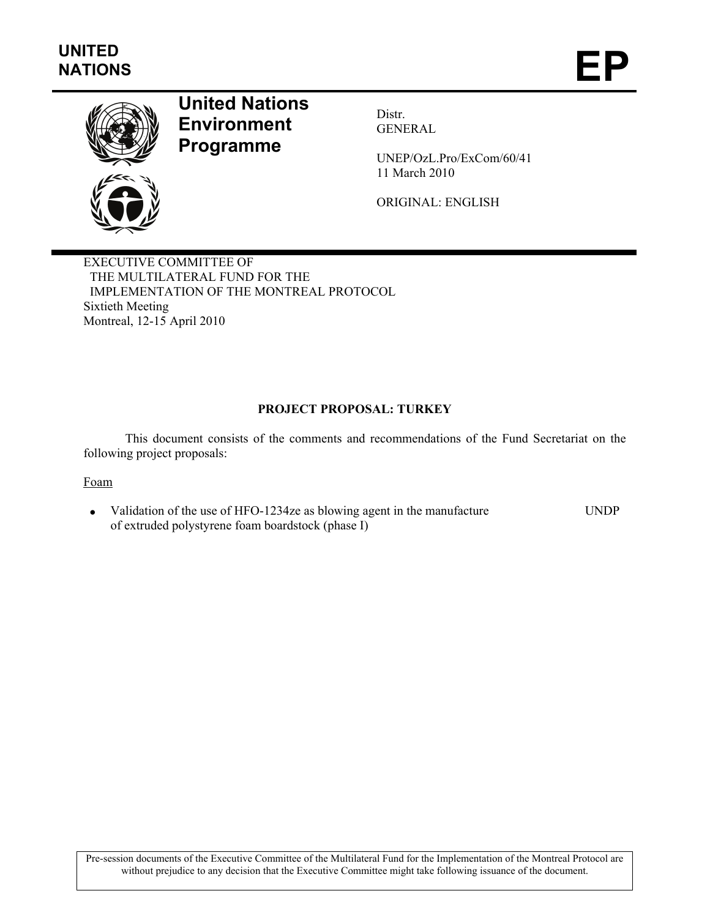

# **United Nations Environment Programme**

Distr. GENERAL

UNEP/OzL.Pro/ExCom/60/41 11 March 2010

ORIGINAL: ENGLISH

EXECUTIVE COMMITTEE OF THE MULTILATERAL FUND FOR THE IMPLEMENTATION OF THE MONTREAL PROTOCOL Sixtieth Meeting Montreal, 12-15 April 2010

# **PROJECT PROPOSAL: TURKEY**

This document consists of the comments and recommendations of the Fund Secretariat on the following project proposals:

# Foam

• Validation of the use of HFO-1234ze as blowing agent in the manufacture of extruded polystyrene foam boardstock (phase I) UNDP

Pre-session documents of the Executive Committee of the Multilateral Fund for the Implementation of the Montreal Protocol are without prejudice to any decision that the Executive Committee might take following issuance of the document.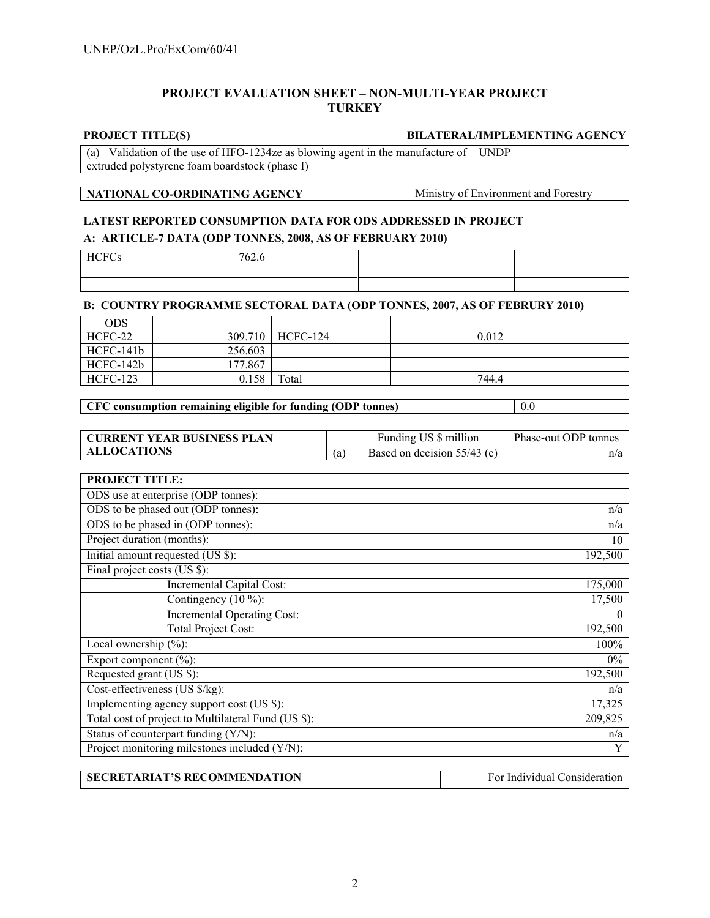# **PROJECT EVALUATION SHEET – NON-MULTI-YEAR PROJECT TURKEY**

#### **PROJECT TITLE(S) BILATERAL/IMPLEMENTING AGENCY**

(a) Validation of the use of HFO-1234ze as blowing agent in the manufacture of UNDP extruded polystyrene foam boardstock (phase I)

# **NATIONAL CO-ORDINATING AGENCY** Ministry of Environment and Forestry

# **LATEST REPORTED CONSUMPTION DATA FOR ODS ADDRESSED IN PROJECT**

# **A: ARTICLE-7 DATA (ODP TONNES, 2008, AS OF FEBRUARY 2010)**

| <b>HCFC</b><br>$\sim$<br>ັ | 762.6 |  |
|----------------------------|-------|--|
|                            |       |  |
|                            |       |  |

#### **B: COUNTRY PROGRAMME SECTORAL DATA (ODP TONNES, 2007, AS OF FEBRURY 2010)**

| ODS             |         |          |       |  |
|-----------------|---------|----------|-------|--|
| HCFC-22         | 309.710 | HCFC-124 | 0.012 |  |
| HCFC-141b       | 256.603 |          |       |  |
| HCFC-142b       | 177.867 |          |       |  |
| <b>HCFC-123</b> | 0.158   | Total    | 744.4 |  |

# **CFC consumption remaining eligible for funding (ODP tonnes)** 0.0

| <b>CURRENT YEAR BUSINESS PLAN</b> |     | Funding US \$ million       | Phase-out ODP tonnes |
|-----------------------------------|-----|-----------------------------|----------------------|
| <b>ALLOCATIONS</b>                | (a) | Based on decision 55/43 (e) | n/a                  |

| <b>PROJECT TITLE:</b>                               |          |
|-----------------------------------------------------|----------|
| ODS use at enterprise (ODP tonnes):                 |          |
| ODS to be phased out (ODP tonnes):                  | n/a      |
| ODS to be phased in (ODP tonnes):                   | n/a      |
| Project duration (months):                          | 10       |
| Initial amount requested (US \$):                   | 192,500  |
| Final project costs (US \$):                        |          |
| Incremental Capital Cost:                           | 175,000  |
| Contingency $(10\%)$ :                              | 17,500   |
| <b>Incremental Operating Cost:</b>                  | $\theta$ |
| <b>Total Project Cost:</b>                          | 192,500  |
| Local ownership $(\% )$ :                           | 100%     |
| Export component $(\% )$ :                          | $0\%$    |
| Requested grant (US \$):                            | 192,500  |
| Cost-effectiveness (US \$/kg):                      | n/a      |
| Implementing agency support cost (US \$):           | 17,325   |
| Total cost of project to Multilateral Fund (US \$): | 209,825  |
| Status of counterpart funding (Y/N):                | n/a      |
| Project monitoring milestones included (Y/N):       | Y        |

| <b>SECRETARIAT'S RECOMMENDATION</b> | For Individual Consideration |
|-------------------------------------|------------------------------|
|                                     |                              |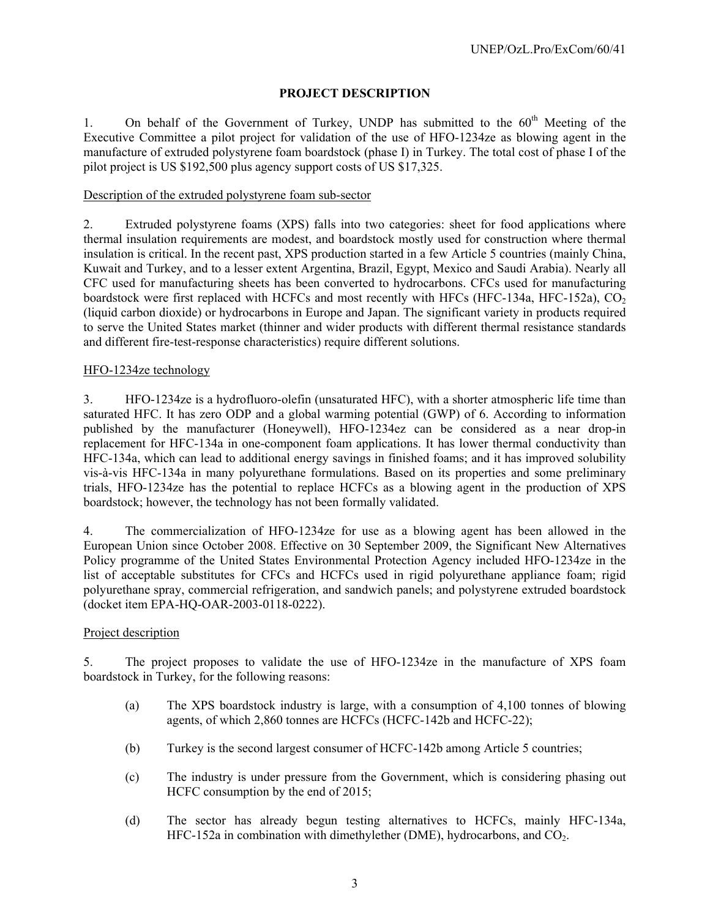# **PROJECT DESCRIPTION**

1. On behalf of the Government of Turkey, UNDP has submitted to the  $60<sup>th</sup>$  Meeting of the Executive Committee a pilot project for validation of the use of HFO-1234ze as blowing agent in the manufacture of extruded polystyrene foam boardstock (phase I) in Turkey. The total cost of phase I of the pilot project is US \$192,500 plus agency support costs of US \$17,325.

# Description of the extruded polystyrene foam sub-sector

2. Extruded polystyrene foams (XPS) falls into two categories: sheet for food applications where thermal insulation requirements are modest, and boardstock mostly used for construction where thermal insulation is critical. In the recent past, XPS production started in a few Article 5 countries (mainly China, Kuwait and Turkey, and to a lesser extent Argentina, Brazil, Egypt, Mexico and Saudi Arabia). Nearly all CFC used for manufacturing sheets has been converted to hydrocarbons. CFCs used for manufacturing boardstock were first replaced with HCFCs and most recently with HFCs (HFC-134a, HFC-152a),  $CO<sub>2</sub>$ (liquid carbon dioxide) or hydrocarbons in Europe and Japan. The significant variety in products required to serve the United States market (thinner and wider products with different thermal resistance standards and different fire-test-response characteristics) require different solutions.

### HFO-1234ze technology

3. HFO-1234ze is a hydrofluoro-olefin (unsaturated HFC), with a shorter atmospheric life time than saturated HFC. It has zero ODP and a global warming potential (GWP) of 6. According to information published by the manufacturer (Honeywell), HFO-1234ez can be considered as a near drop-in replacement for HFC-134a in one-component foam applications. It has lower thermal conductivity than HFC-134a, which can lead to additional energy savings in finished foams; and it has improved solubility vis-à-vis HFC-134a in many polyurethane formulations. Based on its properties and some preliminary trials, HFO-1234ze has the potential to replace HCFCs as a blowing agent in the production of XPS boardstock; however, the technology has not been formally validated.

4. The commercialization of HFO-1234ze for use as a blowing agent has been allowed in the European Union since October 2008. Effective on 30 September 2009, the Significant New Alternatives Policy programme of the United States Environmental Protection Agency included HFO-1234ze in the list of acceptable substitutes for CFCs and HCFCs used in rigid polyurethane appliance foam; rigid polyurethane spray, commercial refrigeration, and sandwich panels; and polystyrene extruded boardstock (docket item EPA-HQ-OAR-2003-0118-0222).

# Project description

5. The project proposes to validate the use of HFO-1234ze in the manufacture of XPS foam boardstock in Turkey, for the following reasons:

- (a) The XPS boardstock industry is large, with a consumption of 4,100 tonnes of blowing agents, of which 2,860 tonnes are HCFCs (HCFC-142b and HCFC-22);
- (b) Turkey is the second largest consumer of HCFC-142b among Article 5 countries;
- (c) The industry is under pressure from the Government, which is considering phasing out HCFC consumption by the end of 2015;
- (d) The sector has already begun testing alternatives to HCFCs, mainly HFC-134a, HFC-152a in combination with dimethylether (DME), hydrocarbons, and  $CO<sub>2</sub>$ .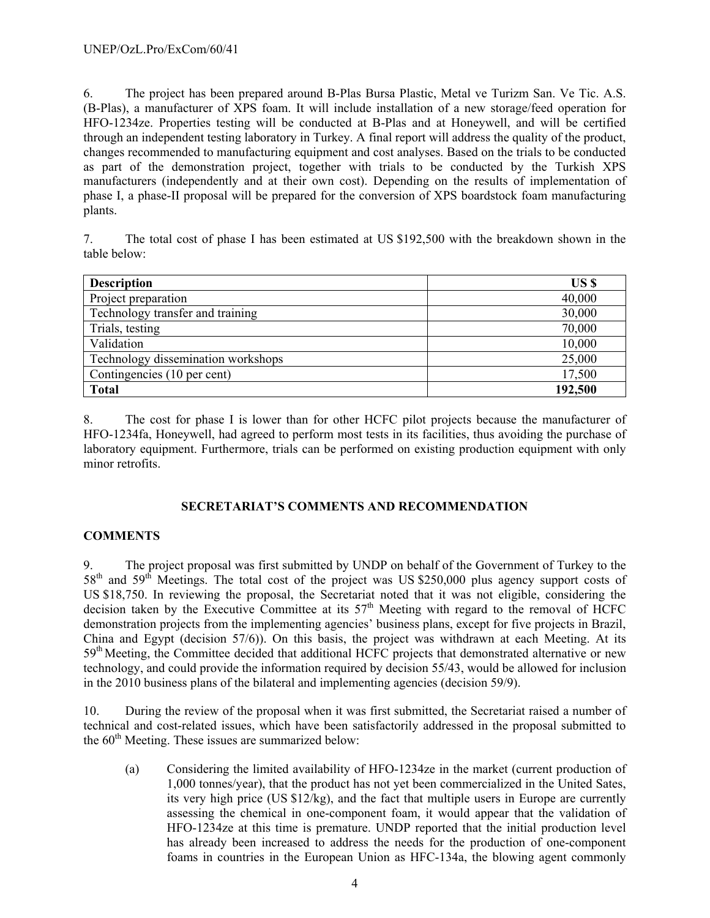6. The project has been prepared around B-Plas Bursa Plastic, Metal ve Turizm San. Ve Tic. A.S. (B-Plas), a manufacturer of XPS foam. It will include installation of a new storage/feed operation for HFO-1234ze. Properties testing will be conducted at B-Plas and at Honeywell, and will be certified through an independent testing laboratory in Turkey. A final report will address the quality of the product, changes recommended to manufacturing equipment and cost analyses. Based on the trials to be conducted as part of the demonstration project, together with trials to be conducted by the Turkish XPS manufacturers (independently and at their own cost). Depending on the results of implementation of phase I, a phase-II proposal will be prepared for the conversion of XPS boardstock foam manufacturing plants.

7. The total cost of phase I has been estimated at US \$192,500 with the breakdown shown in the table below:

| <b>Description</b>                 | US \$   |
|------------------------------------|---------|
| Project preparation                | 40,000  |
| Technology transfer and training   | 30,000  |
| Trials, testing                    | 70,000  |
| Validation                         | 10,000  |
| Technology dissemination workshops | 25,000  |
| Contingencies (10 per cent)        | 17,500  |
| <b>Total</b>                       | 192,500 |

8. The cost for phase I is lower than for other HCFC pilot projects because the manufacturer of HFO-1234fa, Honeywell, had agreed to perform most tests in its facilities, thus avoiding the purchase of laboratory equipment. Furthermore, trials can be performed on existing production equipment with only minor retrofits.

# **SECRETARIAT'S COMMENTS AND RECOMMENDATION**

# **COMMENTS**

9. The project proposal was first submitted by UNDP on behalf of the Government of Turkey to the 58<sup>th</sup> and 59<sup>th</sup> Meetings. The total cost of the project was US \$250,000 plus agency support costs of US \$18,750. In reviewing the proposal, the Secretariat noted that it was not eligible, considering the decision taken by the Executive Committee at its  $57<sup>th</sup>$  Meeting with regard to the removal of HCFC demonstration projects from the implementing agencies' business plans, except for five projects in Brazil, China and Egypt (decision 57/6)). On this basis, the project was withdrawn at each Meeting. At its 59<sup>th</sup> Meeting, the Committee decided that additional HCFC projects that demonstrated alternative or new technology, and could provide the information required by decision 55/43, would be allowed for inclusion in the 2010 business plans of the bilateral and implementing agencies (decision 59/9).

10. During the review of the proposal when it was first submitted, the Secretariat raised a number of technical and cost-related issues, which have been satisfactorily addressed in the proposal submitted to the  $60<sup>th</sup>$  Meeting. These issues are summarized below:

(a) Considering the limited availability of HFO-1234ze in the market (current production of 1,000 tonnes/year), that the product has not yet been commercialized in the United Sates, its very high price (US \$12/kg), and the fact that multiple users in Europe are currently assessing the chemical in one-component foam, it would appear that the validation of HFO-1234ze at this time is premature. UNDP reported that the initial production level has already been increased to address the needs for the production of one-component foams in countries in the European Union as HFC-134a, the blowing agent commonly